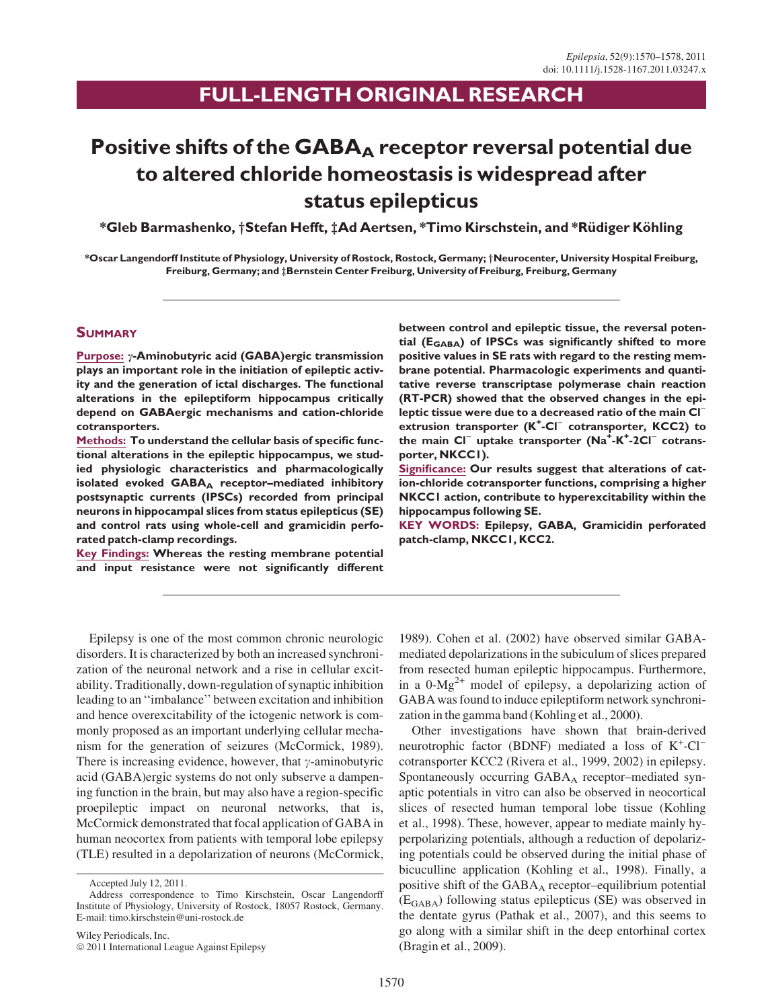# FULL-LENGTH ORIGINAL RESEARCH

# Positive shifts of the  $GABA_A$  receptor reversal potential due to altered chloride homeostasis is widespread after status epilepticus

\*Gleb Barmashenko, †Stefan Hefft, ‡Ad Aertsen, \*Timo Kirschstein, and \*Rüdiger Köhling

\*Oscar Langendorff Institute of Physiology, University of Rostock, Rostock, Germany; †Neurocenter, University Hospital Freiburg, Freiburg, Germany; and  $\ddagger$ Bernstein Center Freiburg, University of Freiburg, Freiburg, Germany

### **SUMMARY**

Purpose:  $\gamma$ -Aminobutyric acid (GABA)ergic transmission plays an important role in the initiation of epileptic activity and the generation of ictal discharges. The functional alterations in the epileptiform hippocampus critically depend on GABAergic mechanisms and cation-chloride cotransporters.

Methods: To understand the cellular basis of specific functional alterations in the epileptic hippocampus, we studied physiologic characteristics and pharmacologically isolated evoked GABAA receptor-mediated inhibitory postsynaptic currents (IPSCs) recorded from principal neurons in hippocampal slices from status epilepticus (SE) and control rats using whole-cell and gramicidin perforated patch-clamp recordings.

Key Findings: Whereas the resting membrane potential and input resistance were not significantly different

between control and epileptic tissue, the reversal potential ( $E<sub>GABA</sub>$ ) of IPSCs was significantly shifted to more positive values in SE rats with regard to the resting membrane potential. Pharmacologic experiments and quantitative reverse transcriptase polymerase chain reaction (RT-PCR) showed that the observed changes in the epileptic tissue were due to a decreased ratio of the main Cl<sup>-</sup> extrusion transporter (K<sup>+</sup>-Cl<sup>-</sup> cotransporter, KCC2) to the main  $CI^-$  uptake transporter  $(Na^+ - K^-)$  cotransporter, NKCC1).

Significance: Our results suggest that alterations of cation-chloride cotransporter functions, comprising a higher NKCC1 action, contribute to hyperexcitability within the hippocampus following SE.

KEY WORDS: Epilepsy, GABA, Gramicidin perforated patch-clamp, NKCC1, KCC2.

Epilepsy is one of the most common chronic neurologic disorders. It is characterized by both an increased synchronization of the neuronal network and a rise in cellular excitability. Traditionally, down-regulation of synaptic inhibition leading to an ''imbalance'' between excitation and inhibition and hence overexcitability of the ictogenic network is commonly proposed as an important underlying cellular mechanism for the generation of seizures (McCormick, 1989). There is increasing evidence, however, that  $\gamma$ -aminobutyric acid (GABA)ergic systems do not only subserve a dampening function in the brain, but may also have a region-specific proepileptic impact on neuronal networks, that is, McCormick demonstrated that focal application of GABA in human neocortex from patients with temporal lobe epilepsy (TLE) resulted in a depolarization of neurons (McCormick,

1989). Cohen et al. (2002) have observed similar GABAmediated depolarizations in the subiculum of slices prepared from resected human epileptic hippocampus. Furthermore, in a  $0-Mg^{2+}$  model of epilepsy, a depolarizing action of GABA was found to induce epileptiform network synchronization in the gamma band (Kohling et al., 2000).

Other investigations have shown that brain-derived neurotrophic factor (BDNF) mediated a loss of  $K^+$ -Cl<sup>-</sup> cotransporter KCC2 (Rivera et al., 1999, 2002) in epilepsy. Spontaneously occurring  $GABA_A$  receptor–mediated synaptic potentials in vitro can also be observed in neocortical slices of resected human temporal lobe tissue (Kohling et al., 1998). These, however, appear to mediate mainly hyperpolarizing potentials, although a reduction of depolarizing potentials could be observed during the initial phase of bicuculline application (Kohling et al., 1998). Finally, a positive shift of the  $GABA_A$  receptor–equilibrium potential  $(E<sub>GABA</sub>)$  following status epilepticus (SE) was observed in the dentate gyrus (Pathak et al., 2007), and this seems to go along with a similar shift in the deep entorhinal cortex (Bragin et al., 2009).

Accepted July 12, 2011.

Address correspondence to Timo Kirschstein, Oscar Langendorff Institute of Physiology, University of Rostock, 18057 Rostock, Germany. E-mail: timo.kirschstein@uni-rostock.de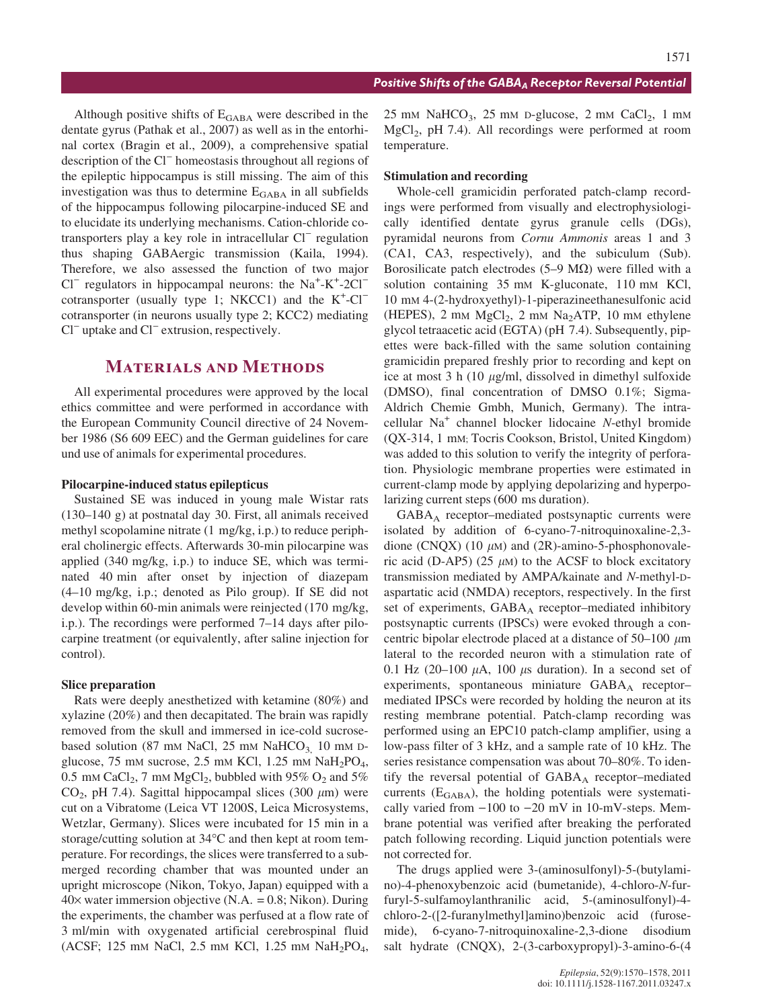Although positive shifts of  $E_{\text{GABA}}$  were described in the dentate gyrus (Pathak et al., 2007) as well as in the entorhinal cortex (Bragin et al., 2009), a comprehensive spatial description of the  $Cl^-$  homeostasis throughout all regions of the epileptic hippocampus is still missing. The aim of this investigation was thus to determine  $E_{\rm GABA}$  in all subfields of the hippocampus following pilocarpine-induced SE and to elucidate its underlying mechanisms. Cation-chloride cotransporters play a key role in intracellular  $Cl^-$  regulation thus shaping GABAergic transmission (Kaila, 1994). Therefore, we also assessed the function of two major  $Cl^-$  regulators in hippocampal neurons: the Na<sup>+</sup>-K<sup>+</sup>-2Cl<sup>-</sup> cotransporter (usually type 1; NKCC1) and the  $K^+$ -Cl<sup>-</sup> cotransporter (in neurons usually type 2; KCC2) mediating  $Cl^-$  uptake and  $Cl^-$  extrusion, respectively.

# Materials and Methods

All experimental procedures were approved by the local ethics committee and were performed in accordance with the European Community Council directive of 24 November 1986 (S6 609 EEC) and the German guidelines for care und use of animals for experimental procedures.

### Pilocarpine-induced status epilepticus

Sustained SE was induced in young male Wistar rats (130–140 g) at postnatal day 30. First, all animals received methyl scopolamine nitrate (1 mg/kg, i.p.) to reduce peripheral cholinergic effects. Afterwards 30-min pilocarpine was applied (340 mg/kg, i.p.) to induce SE, which was terminated 40 min after onset by injection of diazepam (4–10 mg/kg, i.p.; denoted as Pilo group). If SE did not develop within 60-min animals were reinjected (170 mg/kg, i.p.). The recordings were performed 7–14 days after pilocarpine treatment (or equivalently, after saline injection for control).

#### Slice preparation

Rats were deeply anesthetized with ketamine (80%) and xylazine (20%) and then decapitated. The brain was rapidly removed from the skull and immersed in ice-cold sucrosebased solution (87 mm NaCl, 25 mm NaHCO<sub>3</sub>, 10 mm Dglucose, 75 mm sucrose, 2.5 mm KCl, 1.25 mm  $NaH_2PO_4$ , 0.5 mm CaCl<sub>2</sub>, 7 mm MgCl<sub>2</sub>, bubbled with 95%  $O_2$  and 5%  $CO<sub>2</sub>$ , pH 7.4). Sagittal hippocampal slices (300  $\mu$ m) were cut on a Vibratome (Leica VT 1200S, Leica Microsystems, Wetzlar, Germany). Slices were incubated for 15 min in a storage/cutting solution at  $34^{\circ}$ C and then kept at room temperature. For recordings, the slices were transferred to a submerged recording chamber that was mounted under an upright microscope (Nikon, Tokyo, Japan) equipped with a  $40\times$  water immersion objective (N.A. = 0.8; Nikon). During the experiments, the chamber was perfused at a flow rate of 3 ml/min with oxygenated artificial cerebrospinal fluid (ACSF; 125 mm NaCl, 2.5 mm KCl, 1.25 mm NaH<sub>2</sub>PO<sub>4</sub>,

 $25$  mM NaHCO<sub>3</sub>,  $25$  mM D-glucose,  $2$  mM CaCl<sub>2</sub>,  $1$  mM  $MgCl<sub>2</sub>$ , pH 7.4). All recordings were performed at room temperature.

#### Stimulation and recording

Whole-cell gramicidin perforated patch-clamp recordings were performed from visually and electrophysiologically identified dentate gyrus granule cells (DGs), pyramidal neurons from Cornu Ammonis areas 1 and 3 (CA1, CA3, respectively), and the subiculum (Sub). Borosilicate patch electrodes (5–9 M $\Omega$ ) were filled with a solution containing 35 mm K-gluconate, 110 mm KCl, 10 mM 4-(2-hydroxyethyl)-1-piperazineethanesulfonic acid (HEPES),  $2 \text{ mm } MgCl<sub>2</sub>$ ,  $2 \text{ mm } Na<sub>2</sub>ATP$ ,  $10 \text{ mm } ethylene$ glycol tetraacetic acid (EGTA) (pH 7.4). Subsequently, pipettes were back-filled with the same solution containing gramicidin prepared freshly prior to recording and kept on ice at most 3 h (10  $\mu$ g/ml, dissolved in dimethyl sulfoxide (DMSO), final concentration of DMSO 0.1%; Sigma-Aldrich Chemie Gmbh, Munich, Germany). The intracellular Na<sup>+</sup> channel blocker lidocaine N-ethyl bromide (QX-314, 1 mM; Tocris Cookson, Bristol, United Kingdom) was added to this solution to verify the integrity of perforation. Physiologic membrane properties were estimated in current-clamp mode by applying depolarizing and hyperpolarizing current steps (600 ms duration).

GABAA receptor–mediated postsynaptic currents were isolated by addition of 6-cyano-7-nitroquinoxaline-2,3 dione (CNQX) (10  $\mu$ M) and (2R)-amino-5-phosphonovaleric acid (D-AP5) (25  $\mu$ M) to the ACSF to block excitatory transmission mediated by AMPA/kainate and N-methyl-Daspartatic acid (NMDA) receptors, respectively. In the first set of experiments, GABA<sub>A</sub> receptor–mediated inhibitory postsynaptic currents (IPSCs) were evoked through a concentric bipolar electrode placed at a distance of  $50-100 \mu m$ lateral to the recorded neuron with a stimulation rate of 0.1 Hz (20-100  $\mu$ A, 100  $\mu$ s duration). In a second set of experiments, spontaneous miniature  $GABA_A$  receptormediated IPSCs were recorded by holding the neuron at its resting membrane potential. Patch-clamp recording was performed using an EPC10 patch-clamp amplifier, using a low-pass filter of 3 kHz, and a sample rate of 10 kHz. The series resistance compensation was about 70–80%. To identify the reversal potential of  $GABA_A$  receptor–mediated currents  $(E<sub>GABA</sub>)$ , the holding potentials were systematically varied from  $-100$  to  $-20$  mV in 10-mV-steps. Membrane potential was verified after breaking the perforated patch following recording. Liquid junction potentials were not corrected for.

The drugs applied were 3-(aminosulfonyl)-5-(butylamino)-4-phenoxybenzoic acid (bumetanide), 4-chloro-N-furfuryl-5-sulfamoylanthranilic acid, 5-(aminosulfonyl)-4 chloro-2-([2-furanylmethyl]amino)benzoic acid (furosemide), 6-cyano-7-nitroquinoxaline-2,3-dione disodium salt hydrate (CNQX), 2-(3-carboxypropyl)-3-amino-6-(4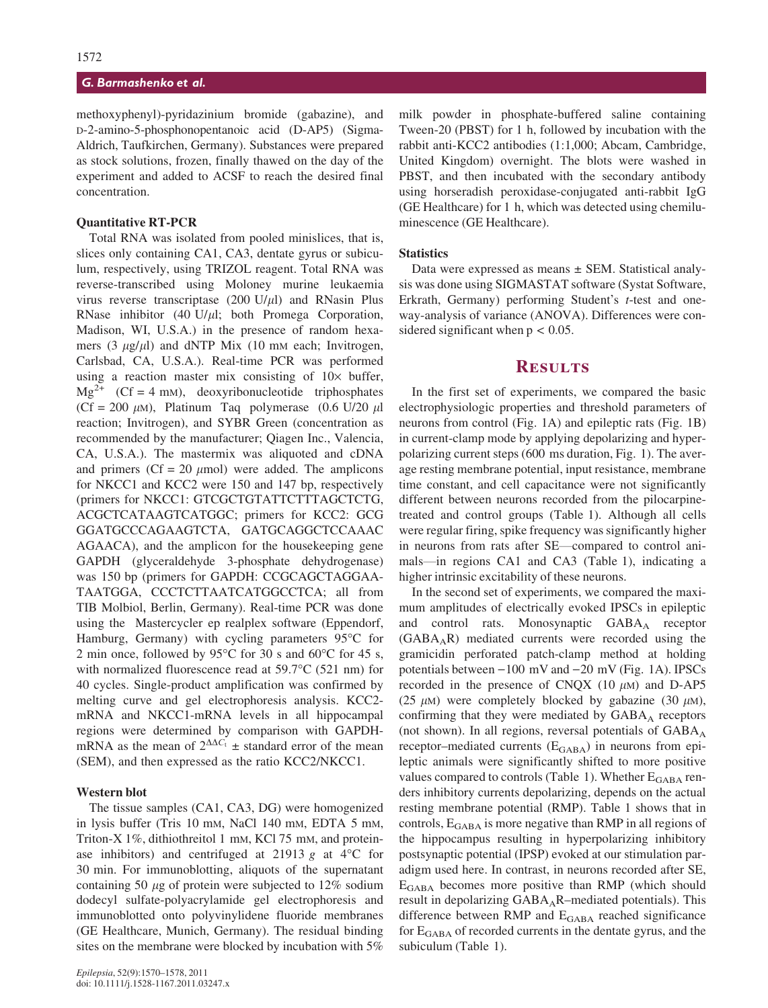#### G. Barmashenko et al.

methoxyphenyl)-pyridazinium bromide (gabazine), and D-2-amino-5-phosphonopentanoic acid (D-AP5) (Sigma-Aldrich, Taufkirchen, Germany). Substances were prepared as stock solutions, frozen, finally thawed on the day of the experiment and added to ACSF to reach the desired final concentration.

#### Quantitative RT-PCR

Total RNA was isolated from pooled minislices, that is, slices only containing CA1, CA3, dentate gyrus or subiculum, respectively, using TRIZOL reagent. Total RNA was reverse-transcribed using Moloney murine leukaemia virus reverse transcriptase  $(200 \text{ U/}\mu\text{I})$  and RNasin Plus RNase inhibitor  $(40 \text{ U}/\mu l)$ ; both Promega Corporation, Madison, WI, U.S.A.) in the presence of random hexamers  $(3 \mu g/\mu l)$  and dNTP Mix  $(10 \text{ mm}$  each; Invitrogen, Carlsbad, CA, U.S.A.). Real-time PCR was performed using a reaction master mix consisting of  $10\times$  buffer,  $Mg^{2+}$  (Cf = 4 mm), deoxyribonucleotide triphosphates (Cf = 200  $\mu$ M), Platinum Taq polymerase (0.6 U/20  $\mu$ l reaction; Invitrogen), and SYBR Green (concentration as recommended by the manufacturer; Qiagen Inc., Valencia, CA, U.S.A.). The mastermix was aliquoted and cDNA and primers (Cf = 20  $\mu$ mol) were added. The amplicons for NKCC1 and KCC2 were 150 and 147 bp, respectively (primers for NKCC1: GTCGCTGTATTCTTTAGCTCTG, ACGCTCATAAGTCATGGC; primers for KCC2: GCG GGATGCCCAGAAGTCTA, GATGCAGGCTCCAAAC AGAACA), and the amplicon for the housekeeping gene GAPDH (glyceraldehyde 3-phosphate dehydrogenase) was 150 bp (primers for GAPDH: CCGCAGCTAGGAA-TAATGGA, CCCTCTTAATCATGGCCTCA; all from TIB Molbiol, Berlin, Germany). Real-time PCR was done using the Mastercycler ep realplex software (Eppendorf, Hamburg, Germany) with cycling parameters  $95^{\circ}$ C for 2 min once, followed by 95 $\degree$ C for 30 s and 60 $\degree$ C for 45 s, with normalized fluorescence read at  $59.7^{\circ}$ C (521 nm) for 40 cycles. Single-product amplification was confirmed by melting curve and gel electrophoresis analysis. KCC2 mRNA and NKCC1-mRNA levels in all hippocampal regions were determined by comparison with GAPDHmRNA as the mean of  $2^{\Delta\Delta C_t}$  ± standard error of the mean (SEM), and then expressed as the ratio KCC2/NKCC1.

#### Western blot

The tissue samples (CA1, CA3, DG) were homogenized in lysis buffer (Tris 10 mM, NaCl 140 mM, EDTA 5 mM, Triton-X 1%, dithiothreitol 1 mm, KCl 75 mm, and proteinase inhibitors) and centrifuged at 21913 g at  $4^{\circ}$ C for 30 min. For immunoblotting, aliquots of the supernatant containing 50  $\mu$ g of protein were subjected to 12% sodium dodecyl sulfate-polyacrylamide gel electrophoresis and immunoblotted onto polyvinylidene fluoride membranes (GE Healthcare, Munich, Germany). The residual binding sites on the membrane were blocked by incubation with 5% milk powder in phosphate-buffered saline containing Tween-20 (PBST) for 1 h, followed by incubation with the rabbit anti-KCC2 antibodies (1:1,000; Abcam, Cambridge, United Kingdom) overnight. The blots were washed in PBST, and then incubated with the secondary antibody using horseradish peroxidase-conjugated anti-rabbit IgG (GE Healthcare) for 1 h, which was detected using chemiluminescence (GE Healthcare).

#### **Statistics**

Data were expressed as means  $\pm$  SEM. Statistical analysis was done using SIGMASTAT software (Systat Software, Erkrath, Germany) performing Student's t-test and oneway-analysis of variance (ANOVA). Differences were considered significant when  $p < 0.05$ .

# **RESULTS**

In the first set of experiments, we compared the basic electrophysiologic properties and threshold parameters of neurons from control (Fig. 1A) and epileptic rats (Fig. 1B) in current-clamp mode by applying depolarizing and hyperpolarizing current steps (600 ms duration, Fig. 1). The average resting membrane potential, input resistance, membrane time constant, and cell capacitance were not significantly different between neurons recorded from the pilocarpinetreated and control groups (Table 1). Although all cells were regular firing, spike frequency was significantly higher in neurons from rats after SE—compared to control animals—in regions CA1 and CA3 (Table 1), indicating a higher intrinsic excitability of these neurons.

In the second set of experiments, we compared the maximum amplitudes of electrically evoked IPSCs in epileptic and control rats. Monosynaptic  $GABA_A$  receptor (GABAAR) mediated currents were recorded using the gramicidin perforated patch-clamp method at holding potentials between  $-100$  mV and  $-20$  mV (Fig. 1A). IPSCs recorded in the presence of CNQX  $(10 \mu M)$  and D-AP5 (25  $\mu$ M) were completely blocked by gabazine (30  $\mu$ M), confirming that they were mediated by  $GABA_A$  receptors (not shown). In all regions, reversal potentials of  $GABA_A$ receptor–mediated currents  $(E<sub>GABA</sub>)$  in neurons from epileptic animals were significantly shifted to more positive values compared to controls (Table 1). Whether  $E_{\rm GABA}$  renders inhibitory currents depolarizing, depends on the actual resting membrane potential (RMP). Table 1 shows that in controls,  $E_{\text{GABA}}$  is more negative than RMP in all regions of the hippocampus resulting in hyperpolarizing inhibitory postsynaptic potential (IPSP) evoked at our stimulation paradigm used here. In contrast, in neurons recorded after SE, EGABA becomes more positive than RMP (which should result in depolarizing GABA<sub>A</sub>R-mediated potentials). This difference between RMP and EGABA reached significance for  $E<sub>GABA</sub>$  of recorded currents in the dentate gyrus, and the subiculum (Table 1).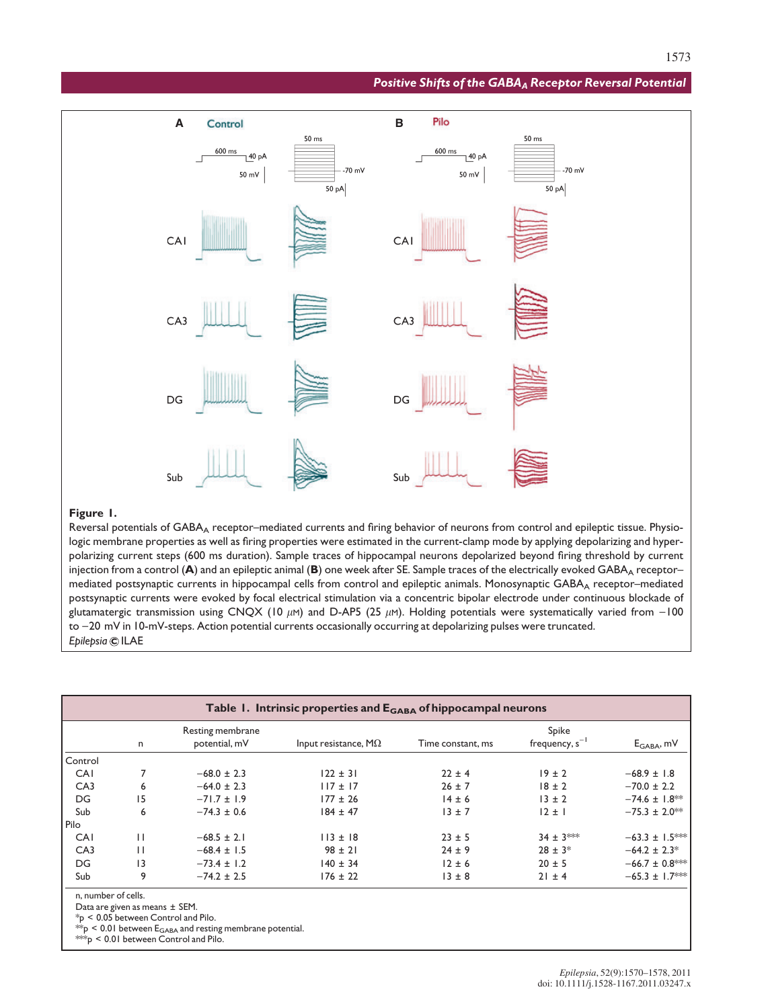#### Positive Shifts of the GABA<sub>A</sub> Receptor Reversal Potential



#### Figure 1.

Reversal potentials of GABA<sub>A</sub> receptor–mediated currents and firing behavior of neurons from control and epileptic tissue. Physiologic membrane properties as well as firing properties were estimated in the current-clamp mode by applying depolarizing and hyperpolarizing current steps (600 ms duration). Sample traces of hippocampal neurons depolarized beyond firing threshold by current injection from a control  $(A)$  and an epileptic animal  $(B)$  one week after SE. Sample traces of the electrically evoked GABA<sub>A</sub> receptor– mediated postsynaptic currents in hippocampal cells from control and epileptic animals. Monosynaptic GABA<sub>A</sub> receptor–mediated postsynaptic currents were evoked by focal electrical stimulation via a concentric bipolar electrode under continuous blockade of glutamatergic transmission using CNQX (10  $\mu$ M) and D-AP5 (25  $\mu$ M). Holding potentials were systematically varied from -100 to -20 mV in 10-mV-steps. Action potential currents occasionally occurring at depolarizing pulses were truncated. Epilepsia CILAE

|             |              | Resting membrane |                        |                   | Spike               |                     |
|-------------|--------------|------------------|------------------------|-------------------|---------------------|---------------------|
|             | n            | potential, mV    | Input resistance, $MQ$ | Time constant, ms | frequency, $s^{-1}$ | $E_{GABA}$ , mV     |
| Control     |              |                  |                        |                   |                     |                     |
| CAI         |              | $-68.0 \pm 2.3$  | $122 \pm 31$           | $22 \pm 4$        | $19 \pm 2$          | $-68.9 \pm 1.8$     |
| CA3         | 6            | $-64.0 \pm 2.3$  | $117 \pm 17$           | $26 \pm 7$        | $18 \pm 2$          | $-70.0 \pm 2.2$     |
| DG          | 15           | $-71.7 \pm 1.9$  | $177 \pm 26$           | $14 \pm 6$        | $13 \pm 2$          | $-74.6 \pm 1.8$ **  |
| Sub         | 6            | $-74.3 \pm 0.6$  | $184 \pm 47$           | $13 \pm 7$        | $12 \pm 1$          | $-75.3 \pm 2.0$ **  |
| <b>Pilo</b> |              |                  |                        |                   |                     |                     |
| CAI         | $\perp$      | $-68.5 \pm 2.1$  | $113 \pm 18$           | $23 \pm 5$        | $34 \pm 3$ ***      | $-63.3 \pm 1.5$ *** |
| CA3         | $\mathbf{H}$ | $-68.4 \pm 1.5$  | $98 \pm 21$            | $24 \pm 9$        | $28 \pm 3$ *        | $-64.2 \pm 2.3^*$   |
| DG          | 3            | $-73.4 \pm 1.2$  | $140 \pm 34$           | $12 \pm 6$        | $20 \pm 5$          | $-66.7 \pm 0.8$ *** |
| Sub         | 9            | $-74.2 \pm 2.5$  | $176 \pm 22$           | $13 \pm 8$        | $21 \pm 4$          | $-65.3 \pm 1.7$ **  |

 $*_P$  < 0.05 between Control and Pilo.

 $^{**}\!{\rm p}$  < 0.01 between  ${\rm E}_{\rm GABA}$  and resting membrane potential.  $*_{p}$  < 0.01 between Control and Pilo.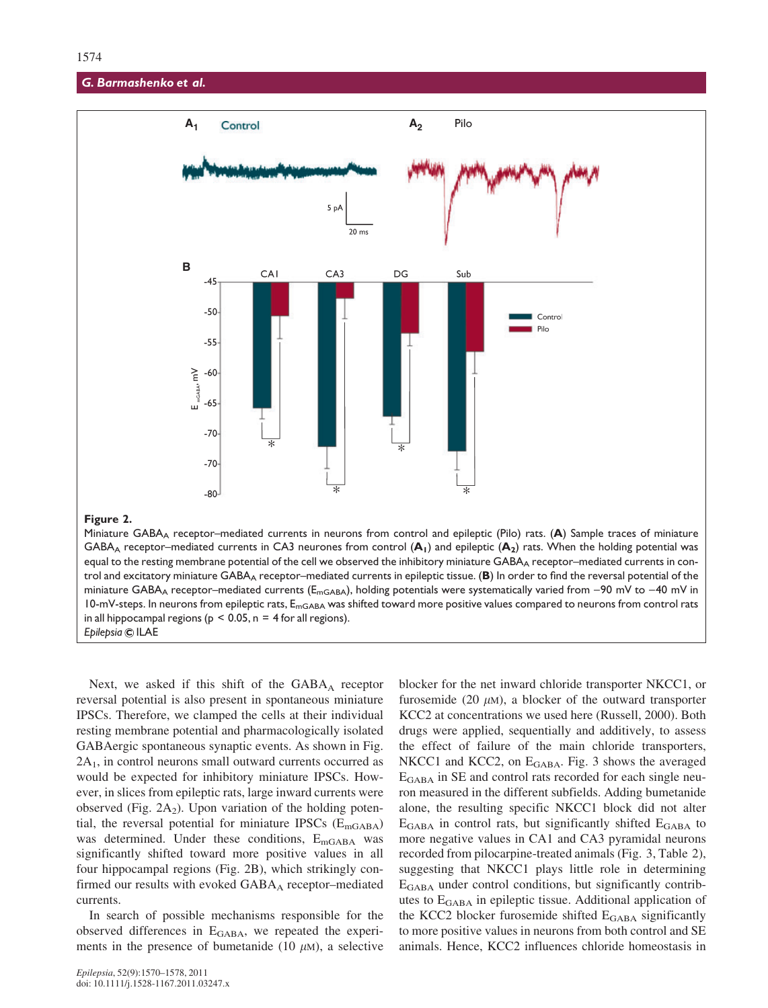#### G. Barmashenko et al.



#### Figure 2.

Miniature GABA<sub>A</sub> receptor–mediated currents in neurons from control and epileptic (Pilo) rats. (A) Sample traces of miniature GABA<sub>A</sub> receptor–mediated currents in CA3 neurones from control  $(A_1)$  and epileptic  $(A_2)$  rats. When the holding potential was equal to the resting membrane potential of the cell we observed the inhibitory miniature GABA<sub>A</sub> receptor–mediated currents in control and excitatory miniature GABA<sub>A</sub> receptor–mediated currents in epileptic tissue. ( $B$ ) In order to find the reversal potential of the miniature GABA<sub>A</sub> receptor–mediated currents ( $E_{mGABA}$ ), holding potentials were systematically varied from -90 mV to -40 mV in 10-mV-steps. In neurons from epileptic rats,  $E_{mgABA}$  was shifted toward more positive values compared to neurons from control rats in all hippocampal regions ( $p \le 0.05$ ,  $n = 4$  for all regions). Epilepsia C ILAE

Next, we asked if this shift of the  $GABA_A$  receptor reversal potential is also present in spontaneous miniature IPSCs. Therefore, we clamped the cells at their individual resting membrane potential and pharmacologically isolated GABAergic spontaneous synaptic events. As shown in Fig.  $2A<sub>1</sub>$ , in control neurons small outward currents occurred as would be expected for inhibitory miniature IPSCs. However, in slices from epileptic rats, large inward currents were observed (Fig.  $2A_2$ ). Upon variation of the holding potential, the reversal potential for miniature IPSCs  $(E_{\text{mGABA}})$ was determined. Under these conditions,  $E_{\text{mGABA}}$  was significantly shifted toward more positive values in all four hippocampal regions (Fig. 2B), which strikingly confirmed our results with evoked  $GABA_A$  receptor–mediated currents.

In search of possible mechanisms responsible for the observed differences in  $E_{\text{GABA}}$ , we repeated the experiments in the presence of bumetanide (10  $\mu$ M), a selective

blocker for the net inward chloride transporter NKCC1, or furosemide (20  $\mu$ M), a blocker of the outward transporter KCC2 at concentrations we used here (Russell, 2000). Both drugs were applied, sequentially and additively, to assess the effect of failure of the main chloride transporters, NKCC1 and KCC2, on  $E_{\text{GABA}}$ . Fig. 3 shows the averaged  $E_{\rm GABA}$  in SE and control rats recorded for each single neuron measured in the different subfields. Adding bumetanide alone, the resulting specific NKCC1 block did not alter  $E_{\text{GABA}}$  in control rats, but significantly shifted  $E_{\text{GABA}}$  to more negative values in CA1 and CA3 pyramidal neurons recorded from pilocarpine-treated animals (Fig. 3, Table 2), suggesting that NKCC1 plays little role in determining EGABA under control conditions, but significantly contributes to  $E_{\text{GABA}}$  in epileptic tissue. Additional application of the KCC2 blocker furosemide shifted  $E_{\text{GABA}}$  significantly to more positive values in neurons from both control and SE animals. Hence, KCC2 influences chloride homeostasis in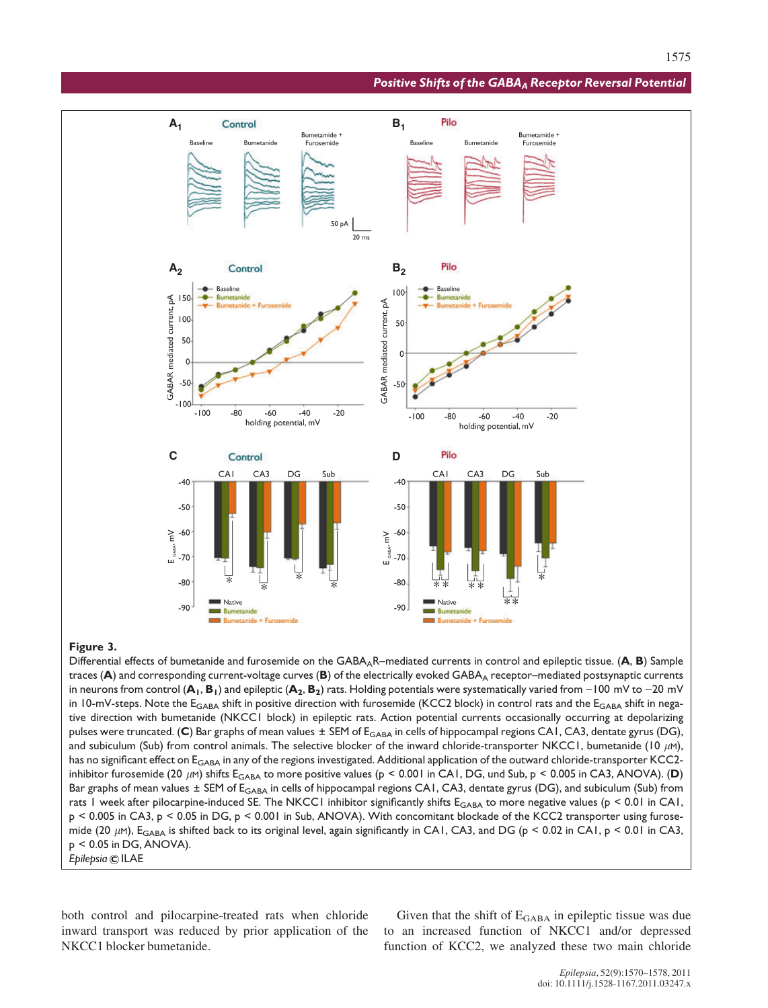#### Positive Shifts of the GABA<sub>A</sub> Receptor Reversal Potential



### Figure 3.

Differential effects of bumetanide and furosemide on the  $GABA_AR$ –mediated currents in control and epileptic tissue. (A, B) Sample traces  $(A)$  and corresponding current-voltage curves  $(B)$  of the electrically evoked GABA<sub>A</sub> receptor–mediated postsynaptic currents in neurons from control ( $A_1$ ,  $B_1$ ) and epileptic ( $A_2$ ,  $B_2$ ) rats. Holding potentials were systematically varied from  $-100$  mV to  $-20$  mV in 10-mV-steps. Note the  $E_{GABA}$  shift in positive direction with furosemide (KCC2 block) in control rats and the  $E_{GABA}$  shift in negative direction with bumetanide (NKCC1 block) in epileptic rats. Action potential currents occasionally occurring at depolarizing pulses were truncated. (C) Bar graphs of mean values  $\pm$  SEM of E<sub>GABA</sub> in cells of hippocampal regions CA1, CA3, dentate gyrus (DG), and subiculum (Sub) from control animals. The selective blocker of the inward chloride-transporter NKCC1, bumetanide (10  $\mu$ M), has no significant effect on E<sub>GABA</sub> in any of the regions investigated. Additional application of the outward chloride-transporter KCC2inhibitor furosemide (20  $\mu$ M) shifts E<sub>GABA</sub> to more positive values (p < 0.001 in CA1, DG, und Sub, p < 0.005 in CA3, ANOVA). (D) Bar graphs of mean values ± SEM of E<sub>GABA</sub> in cells of hippocampal regions CA1, CA3, dentate gyrus (DG), and subiculum (Sub) from rats 1 week after pilocarpine-induced SE. The NKCC1 inhibitor significantly shifts  $E_{GABA}$  to more negative values ( $p < 0.01$  in CA1, p < 0.005 in CA3, p < 0.05 in DG, p < 0.001 in Sub, ANOVA). With concomitant blockade of the KCC2 transporter using furosemide (20  $\mu$ M), E<sub>GABA</sub> is shifted back to its original level, again significantly in CA1, CA3, and DG (p < 0.02 in CA1, p < 0.01 in CA3, p < 0.05 in DG, ANOVA). Epilepsia © ILAE

both control and pilocarpine-treated rats when chloride inward transport was reduced by prior application of the NKCC1 blocker bumetanide.

Given that the shift of  $E_{\text{GABA}}$  in epileptic tissue was due to an increased function of NKCC1 and/or depressed function of KCC2, we analyzed these two main chloride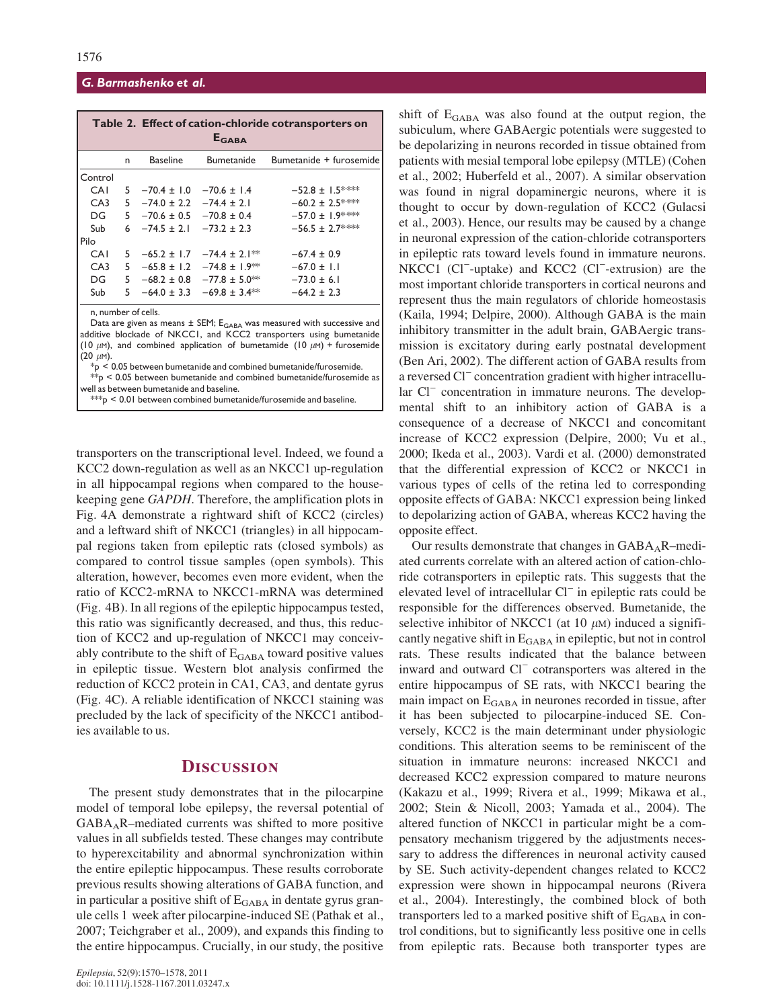#### G. Barmashenko et al.

| Table 2. Effect of cation-chloride cotransporters on<br>EGARA |   |                                 |                                               |                         |  |  |  |  |
|---------------------------------------------------------------|---|---------------------------------|-----------------------------------------------|-------------------------|--|--|--|--|
|                                                               | n | <b>Baseline</b>                 | Bumetanide                                    | Bumetanide + furosemide |  |  |  |  |
| Control                                                       |   |                                 |                                               |                         |  |  |  |  |
| <b>CAI</b>                                                    |   | $5 -70.4 \pm 1.0$               | $-70.6 \pm 1.4$                               | $-52.8 \pm 1.5$ ***     |  |  |  |  |
| CA3                                                           |   | $-74.0 \pm 2.2$ $-74.4 \pm 2.1$ |                                               | $-60.2 \pm 2.5$ ****    |  |  |  |  |
| DG                                                            |   | $5 -70.6 \pm 0.5 -70.8 \pm 0.4$ |                                               | $-57.0 \pm 1.9$ ***     |  |  |  |  |
| Sub                                                           |   | $6 -74.5 \pm 2.1 -73.2 \pm 2.3$ |                                               | $-56.5 \pm 2.7$ ***     |  |  |  |  |
| Pilo                                                          |   |                                 |                                               |                         |  |  |  |  |
| <b>CAI</b>                                                    |   | $5 -65.2 \pm 1.7$               | $-74.4 + 2.1$ **                              | $-67.4 + 0.9$           |  |  |  |  |
| CA3                                                           |   |                                 | $5 -65.8 \pm 1.2 -74.8 \pm 1.9$ <sup>**</sup> | $-67.0 \pm 1.1$         |  |  |  |  |
| DG                                                            |   |                                 | $5 -68.2 \pm 0.8 -77.8 \pm 5.0$ <sup>**</sup> | $-73.0 \pm 6.1$         |  |  |  |  |
| Sub                                                           |   |                                 | $5 -64.0 \pm 3.3 -69.8 \pm 3.4$ <sup>**</sup> | $-64.2 \pm 2.3$         |  |  |  |  |
| n, number of cells.                                           |   |                                 |                                               |                         |  |  |  |  |

Data are given as means  $\pm$  SEM; E<sub>GABA</sub> was measured with successive and additive blockade of NKCC1, and KCC2 transporters using bumetanide (10  $\mu$ M), and combined application of bumetamide (10  $\mu$ M) + furosemide  $(20 \mu M)$ .

 $*_p$   $\leq$  0.05 between bumetanide and combined bumetanide/furosemide.

 $*$  $p$  < 0.05 between bumetanide and combined bumetanide/furosemide as well as between bumetanide and baseline.

 $*$  $\approx$  0.01 between combined bumetanide/furosemide and baseline

transporters on the transcriptional level. Indeed, we found a KCC2 down-regulation as well as an NKCC1 up-regulation in all hippocampal regions when compared to the housekeeping gene GAPDH. Therefore, the amplification plots in Fig. 4A demonstrate a rightward shift of KCC2 (circles) and a leftward shift of NKCC1 (triangles) in all hippocampal regions taken from epileptic rats (closed symbols) as compared to control tissue samples (open symbols). This alteration, however, becomes even more evident, when the ratio of KCC2-mRNA to NKCC1-mRNA was determined (Fig. 4B). In all regions of the epileptic hippocampus tested, this ratio was significantly decreased, and thus, this reduction of KCC2 and up-regulation of NKCC1 may conceivably contribute to the shift of  $E_{\text{GABA}}$  toward positive values in epileptic tissue. Western blot analysis confirmed the reduction of KCC2 protein in CA1, CA3, and dentate gyrus (Fig. 4C). A reliable identification of NKCC1 staining was precluded by the lack of specificity of the NKCC1 antibodies available to us.

# **DISCUSSION**

The present study demonstrates that in the pilocarpine model of temporal lobe epilepsy, the reversal potential of  $GABA<sub>A</sub>R$ –mediated currents was shifted to more positive values in all subfields tested. These changes may contribute to hyperexcitability and abnormal synchronization within the entire epileptic hippocampus. These results corroborate previous results showing alterations of GABA function, and in particular a positive shift of  $E_{\text{GABA}}$  in dentate gyrus granule cells 1 week after pilocarpine-induced SE (Pathak et al., 2007; Teichgraber et al., 2009), and expands this finding to the entire hippocampus. Crucially, in our study, the positive shift of  $E<sub>GABA</sub>$  was also found at the output region, the subiculum, where GABAergic potentials were suggested to be depolarizing in neurons recorded in tissue obtained from patients with mesial temporal lobe epilepsy (MTLE) (Cohen et al., 2002; Huberfeld et al., 2007). A similar observation was found in nigral dopaminergic neurons, where it is thought to occur by down-regulation of KCC2 (Gulacsi et al., 2003). Hence, our results may be caused by a change in neuronal expression of the cation-chloride cotransporters in epileptic rats toward levels found in immature neurons. NKCC1 (Cl<sup>-</sup>-uptake) and KCC2 (Cl<sup>-</sup>-extrusion) are the most important chloride transporters in cortical neurons and represent thus the main regulators of chloride homeostasis (Kaila, 1994; Delpire, 2000). Although GABA is the main inhibitory transmitter in the adult brain, GABAergic transmission is excitatory during early postnatal development (Ben Ari, 2002). The different action of GABA results from a reversed Cl<sup>-</sup> concentration gradient with higher intracellular Cl<sup>-</sup> concentration in immature neurons. The developmental shift to an inhibitory action of GABA is a consequence of a decrease of NKCC1 and concomitant increase of KCC2 expression (Delpire, 2000; Vu et al., 2000; Ikeda et al., 2003). Vardi et al. (2000) demonstrated that the differential expression of KCC2 or NKCC1 in various types of cells of the retina led to corresponding opposite effects of GABA: NKCC1 expression being linked to depolarizing action of GABA, whereas KCC2 having the opposite effect.

Our results demonstrate that changes in  $GABA_AR$ –mediated currents correlate with an altered action of cation-chloride cotransporters in epileptic rats. This suggests that the elevated level of intracellular  $Cl^-$  in epileptic rats could be responsible for the differences observed. Bumetanide, the selective inhibitor of NKCC1 (at 10  $\mu$ M) induced a significantly negative shift in E<sub>GABA</sub> in epileptic, but not in control rats. These results indicated that the balance between inward and outward Cl<sup>-</sup> cotransporters was altered in the entire hippocampus of SE rats, with NKCC1 bearing the main impact on  $E_{\text{GABA}}$  in neurones recorded in tissue, after it has been subjected to pilocarpine-induced SE. Conversely, KCC2 is the main determinant under physiologic conditions. This alteration seems to be reminiscent of the situation in immature neurons: increased NKCC1 and decreased KCC2 expression compared to mature neurons (Kakazu et al., 1999; Rivera et al., 1999; Mikawa et al., 2002; Stein & Nicoll, 2003; Yamada et al., 2004). The altered function of NKCC1 in particular might be a compensatory mechanism triggered by the adjustments necessary to address the differences in neuronal activity caused by SE. Such activity-dependent changes related to KCC2 expression were shown in hippocampal neurons (Rivera et al., 2004). Interestingly, the combined block of both transporters led to a marked positive shift of  $E_{\text{GABA}}$  in control conditions, but to significantly less positive one in cells from epileptic rats. Because both transporter types are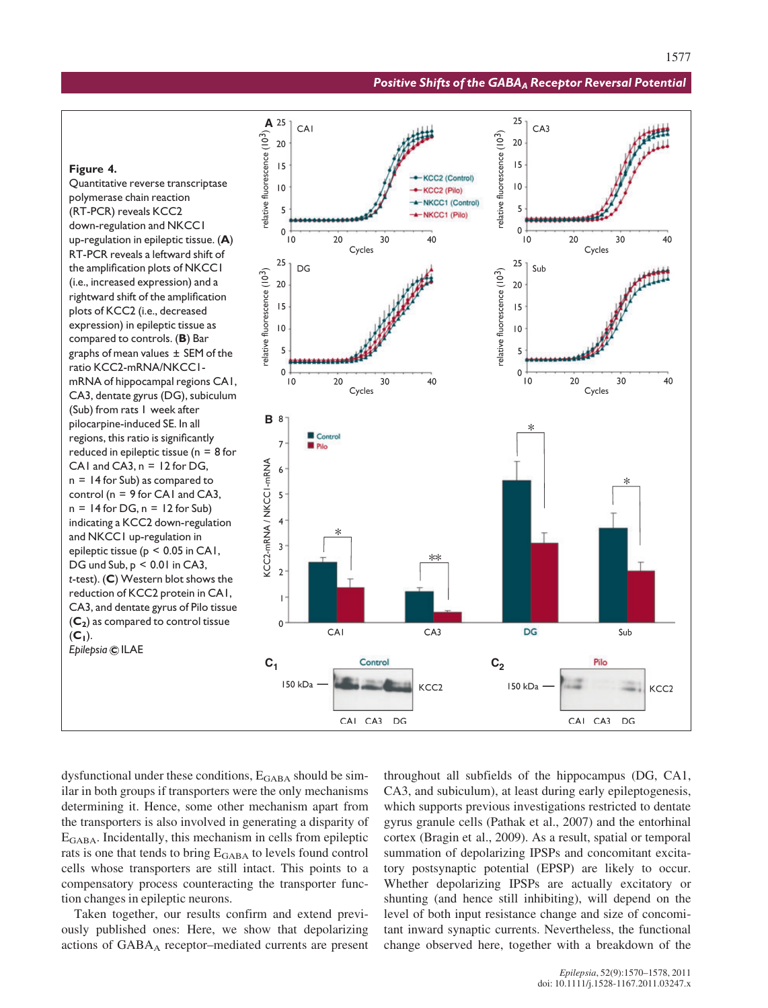#### Positive Shifts of the GABA<sub>A</sub> Receptor Reversal Potential

 $CA3$ 

25

 $20$ 

#### **A** relative fluorescence (10<sup>3</sup>)  $15$ Figure 4. KCC2 (Control) Quantitative reverse transcriptase  $\overline{10}$ KCC2 (Pilo) polymerase chain reaction -NKCC1 (Control) 5 (RT-PCR) reveals KCC2 NKCC1 (Pilo) down-regulation and NKCC1  $\pmb{0}$  $\Omega$  $10$  $20$  $30$  $40$  $10$  $20$  $30$  $40$ up-regulation in epileptic tissue. (A) Cycles Cycles RT-PCR reveals a leftward shift of 25  $25$ the amplification plots of NKCC1 DG Sub relative fluorescence (10<sup>3</sup>) relative fluorescence (10<sup>3</sup>) (i.e., increased expression) and a  $20$ 20 rightward shift of the amplification  $15$  $15$ plots of KCC2 (i.e., decreased expression) in epileptic tissue as  $\overline{10}$  $|0$ compared to controls. (B) Bar 5 5 graphs of mean values ± SEM of the ratio KCC2-mRNA/NKCC1-  $\Omega$  $\pmb{0}$  $10$  $20$ mRNA of hippocampal regions CA1,  $10$ 20  $30$  $40$ 30  $40$ Cycles Cycles CA3, dentate gyrus (DG), subiculum (Sub) from rats 1 week after **B** pilocarpine-induced SE. In all regions, this ratio is significantly Control  $\overline{7}$ **E** Pilo reduced in epileptic tissue ( $n = 8$  for KCC2-mRNA / NKCCI-mRNA CA1 and CA3,  $n = 12$  for DG,  $\overline{6}$ n = 14 for Sub) as compared to control ( $n = 9$  for CA1 and CA3, 5  $n = 14$  for DG,  $n = 12$  for Sub)  $\overline{4}$ indicating a KCC2 down-regulation and NKCC1 up-regulation in  $\overline{\mathbf{3}}$ epileptic tissue (p < 0.05 in CA1,  $*$ DG und Sub,  $p < 0.01$  in CA3,  $\overline{2}$ t-test). (C) Western blot shows the reduction of KCC2 protein in CA1,  $\overline{1}$ CA3, and dentate gyrus of Pilo tissue  $(C_2)$  as compared to control tissue  $\Omega$ **CAI**  $CA3$ DG Sub  $(C_1)$ . Epilepsia © ILAE Pilo  $C_1$  **Control**  $C_2$ 150 kDa 150 kDa KCC<sub>2</sub> KCC<sub>2</sub>

CAI CA3 DG

CAI

dysfunctional under these conditions, E<sub>GABA</sub> should be similar in both groups if transporters were the only mechanisms determining it. Hence, some other mechanism apart from the transporters is also involved in generating a disparity of EGABA. Incidentally, this mechanism in cells from epileptic rats is one that tends to bring  $E_{\text{GABA}}$  to levels found control cells whose transporters are still intact. This points to a compensatory process counteracting the transporter function changes in epileptic neurons.

Taken together, our results confirm and extend previously published ones: Here, we show that depolarizing actions of GABAA receptor–mediated currents are present

throughout all subfields of the hippocampus (DG, CA1, CA3, and subiculum), at least during early epileptogenesis, which supports previous investigations restricted to dentate gyrus granule cells (Pathak et al., 2007) and the entorhinal cortex (Bragin et al., 2009). As a result, spatial or temporal summation of depolarizing IPSPs and concomitant excitatory postsynaptic potential (EPSP) are likely to occur. Whether depolarizing IPSPs are actually excitatory or shunting (and hence still inhibiting), will depend on the level of both input resistance change and size of concomitant inward synaptic currents. Nevertheless, the functional change observed here, together with a breakdown of the

CAI CA3 DG